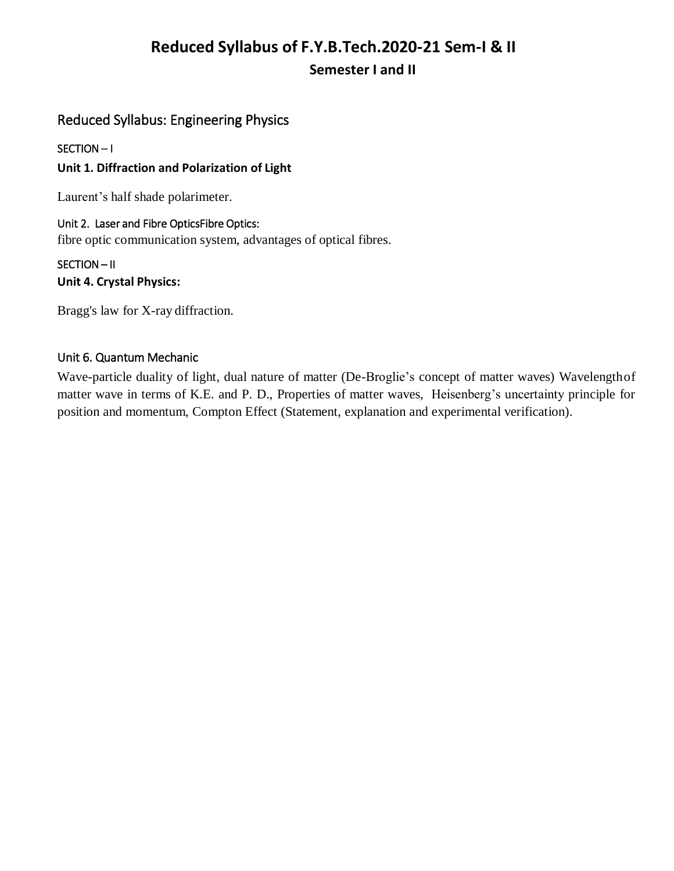# **Reduced Syllabus of F.Y.B.Tech.2020-21 Sem-I & II Semester I and II**

# Reduced Syllabus: Engineering Physics

# SECTION – I

# **Unit 1. Diffraction and Polarization of Light**

Laurent's half shade polarimeter.

## Unit 2. Laser and Fibre OpticsFibre Optics:

fibre optic communication system, advantages of optical fibres.

# SECTION – II **Unit 4. Crystal Physics:**

Bragg's law for X-ray diffraction.

# Unit 6. Quantum Mechanic

Wave-particle duality of light, dual nature of matter (De-Broglie's concept of matter waves) Wavelengthof matter wave in terms of K.E. and P. D., Properties of matter waves, Heisenberg's uncertainty principle for position and momentum, Compton Effect (Statement, explanation and experimental verification).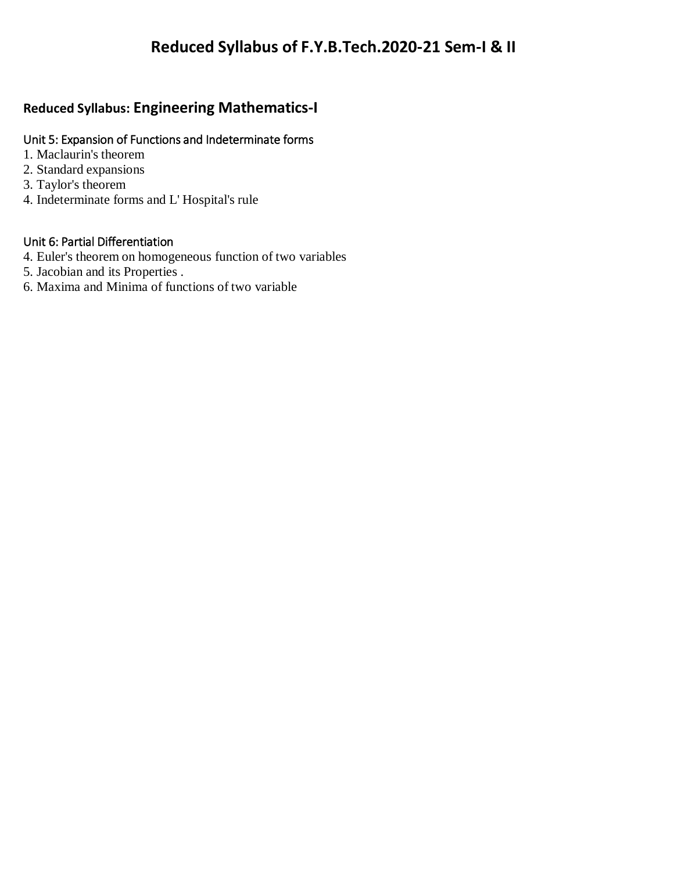# **Reduced Syllabus: Engineering Mathematics-I**

# Unit 5: Expansion of Functions and Indeterminate forms

- 1. Maclaurin's theorem
- 2. Standard expansions
- 3. Taylor's theorem
- 4. Indeterminate forms and L' Hospital's rule

# Unit 6: Partial Differentiation

- 4. Euler's theorem on homogeneous function of two variables
- 5. Jacobian and its Properties .
- 6. Maxima and Minima of functions of two variable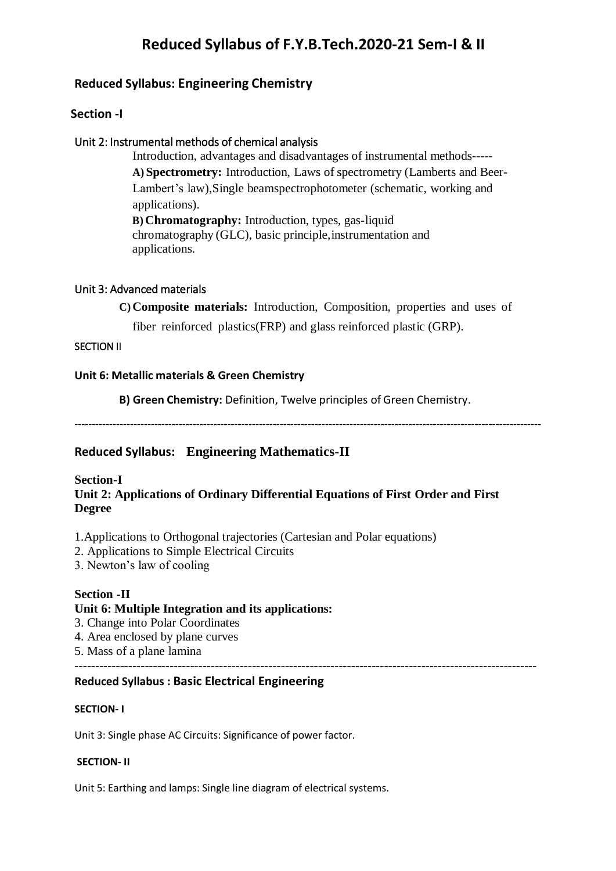# **Reduced Syllabus of F.Y.B.Tech.2020-21 Sem-I & II**

# **Reduced Syllabus: Engineering Chemistry**

### **Section -I**

### Unit 2: Instrumental methods of chemical analysis

Introduction, advantages and disadvantages of instrumental methods----- **A) Spectrometry:** Introduction, Laws of spectrometry (Lamberts and Beer-Lambert's law),Single beamspectrophotometer (schematic, working and applications).

**B) Chromatography:** Introduction, types, gas-liquid chromatography (GLC), basic principle,instrumentation and applications.

### Unit 3: Advanced materials

**C) Composite materials:** Introduction, Composition, properties and uses of

fiber reinforced plastics(FRP) and glass reinforced plastic (GRP).

### SECTION II

#### **Unit 6: Metallic materials & Green Chemistry**

**B) Green Chemistry:** Definition, Twelve principles of Green Chemistry.

**--------------------------------------------------------------------------------------------------------------------------------------**

# **Reduced Syllabus: Engineering Mathematics-II**

# **Section-I Unit 2: Applications of Ordinary Differential Equations of First Order and First Degree**

1.Applications to Orthogonal trajectories (Cartesian and Polar equations)

2. Applications to Simple Electrical Circuits

3. Newton's law of cooling

#### **Section -II**

## **Unit 6: Multiple Integration and its applications:**

- 3. Change into Polar Coordinates
- 4. Area enclosed by plane curves
- 5. Mass of a plane lamina

## ----------------------------------------------------------------------------------------------------------------

## **Reduced Syllabus : Basic Electrical Engineering**

#### **SECTION- I**

Unit 3: Single phase AC Circuits: Significance of power factor.

#### **SECTION- II**

Unit 5: Earthing and lamps: Single line diagram of electrical systems.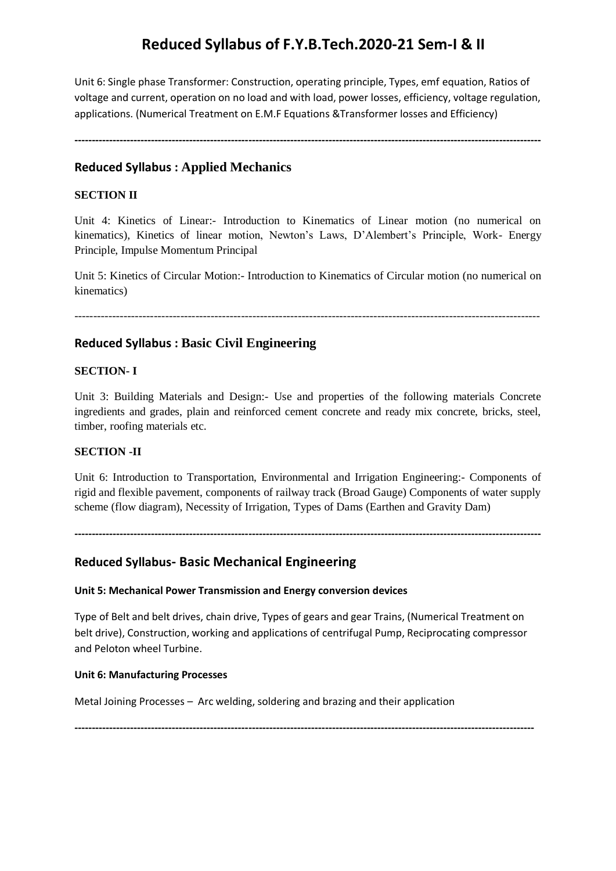# **Reduced Syllabus of F.Y.B.Tech.2020-21 Sem-I & II**

Unit 6: Single phase Transformer: Construction, operating principle, Types, emf equation, Ratios of voltage and current, operation on no load and with load, power losses, efficiency, voltage regulation, applications. (Numerical Treatment on E.M.F Equations &Transformer losses and Efficiency)

**--------------------------------------------------------------------------------------------------------------------------------------**

## **Reduced Syllabus : Applied Mechanics**

### **SECTION II**

Unit 4: Kinetics of Linear:- Introduction to Kinematics of Linear motion (no numerical on kinematics), Kinetics of linear motion, Newton's Laws, D'Alembert's Principle, Work- Energy Principle, Impulse Momentum Principal

Unit 5: Kinetics of Circular Motion:- Introduction to Kinematics of Circular motion (no numerical on kinematics)

---------------------------------------------------------------------------------------------------------------------------

## **Reduced Syllabus : Basic Civil Engineering**

#### **SECTION- I**

Unit 3: Building Materials and Design:- Use and properties of the following materials Concrete ingredients and grades, plain and reinforced cement concrete and ready mix concrete, bricks, steel, timber, roofing materials etc.

#### **SECTION -II**

Unit 6: Introduction to Transportation, Environmental and Irrigation Engineering:- Components of rigid and flexible pavement, components of railway track (Broad Gauge) Components of water supply scheme (flow diagram), Necessity of Irrigation, Types of Dams (Earthen and Gravity Dam)

**--------------------------------------------------------------------------------------------------------------------------------------**

## **Reduced Syllabus- Basic Mechanical Engineering**

#### **Unit 5: Mechanical Power Transmission and Energy conversion devices**

Type of Belt and belt drives, chain drive, Types of gears and gear Trains, (Numerical Treatment on belt drive), Construction, working and applications of centrifugal Pump, Reciprocating compressor and Peloton wheel Turbine.

#### **Unit 6: Manufacturing Processes**

Metal Joining Processes – Arc welding, soldering and brazing and their application

**------------------------------------------------------------------------------------------------------------------------------------**